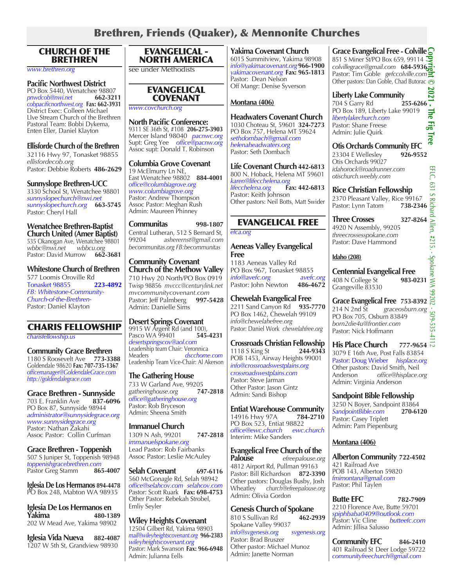# Brethren, Friends (Quaker), & Mennonite Churches

#### CHURCH OF THE BRETHREN

*www.brethren.org*

**Pacific Northwest District** PO Box 5440, Wenatchee 98807<br>
pnwdcob@nwi.net 662-3211  $p$ *nwdcob@nwi.net cobpacificnorthwest.org*  **Fax: 662-3931** District Exec: Colleen Michael LIve Stream Church of the Brethren Pastoral Team: Bobbi Dykema, Enten Eller, Daniel Klayton

# **Ellisforde Church of the Brethren**

32116 Hwy 97, Tonasket 98855 *ellisfordecob.org* Pastor: Debbie Roberts **486-2629**

#### **Sunnyslope Brethren-UCC**

3330 School St, Wenatchee 98801 *sunnyslopechurch@nwi.net sunnyslopechurch.org* **663-5745** Pastor: Cheryl Hall

**Wenatchee Brethren-Baptist Church United (Amer Baptist)** 535 Okanogan Ave, Wenatchee 98801 *wbbc@nwi.net wbbcu.org* Pastor: David Murrow **662-3681**

**Whitestone Church of Brethren**  577 Loomis Oroville Rd<br>Tonasket 98855 223-4892 Tonasket 98855 **223-4892** *FB: Whitestone-Community-Church-of-the-Brethren-*Pastor: Daniel Klayton

#### CHARIS FELLOWSHIP

*charisfellowship.us*

**Community Grace Brethren** 1180 S Roosevelt Ave **773-3388** Goldendale 98620 **Fax: 707-735-1367** *officemanager@GoldendaleGrace.com http://goldendalegrace.com*

**Grace Brethren - Sunnyside** 703 E. Franklin Ave PO Box 87, Sunnyside 98944 *administrator@sunnysidegrace.org www.sunnysidegrace.org* Pastor: Nathan Zakahi Assoc Pastor: Collin Curfman

**Grace Brethren - Toppenish** 507 S Juniper St, Toppenish 98948 *toppenishgracebrethren.com* Pastor Greg Stamm

**Iglesia De Los Hermanos 894-4478** PO Box 248, Mabton WA 98935

**Iglesia De Los Hermanos en Yakima 480-1389** 202 W Mead Ave, Yakima 98902

**Iglesia Vida Nueva 882-4087** 1207 W 5th St, Grandview 98930

# EVANGELICAL - NORTH AMERICA

see under Methodists

#### EVANGELICAL COVENANT

*www.covchurch.org*

**North Pacific Conference:** 9311 SE 36th St, #108 **206-275-3903** Mercer Island 98040 *pacnwc.org* Supt: Greg Yee *office@pacnw.org* Assoc supt: Donald T. Robinson

#### **Columbia Grove Covenant**

19 McElmurry Ln NE, East Wenatchee 98802 **884-4001** *office@columbiagrove.org www.columbiagrove.org* Pastor: Andrew Thompson Assoc Pastor: Meghan Rush Admin: Maureen Phinney

**Communitas 998-1807** Central Lutheran, 512 S Bernard St,<br>99204 asherernst@gmail.com 99204 *asherernst@gmail.com becommunitas.org FB:becommunitas*

**Community Covenant Church of the Methow Valley** 710 Hwy 20 North/PO Box 0919 Twisp 98856 *mvccc@centurylink.net mvcommunitycovenant.com* Pastor: Jeff Palmberg Admin: Danielle Sims

#### **Desert Springs Covenant**

9915 W Argent Rd (and 100),<br>Pasco WA 99401 **545-4231** Pasco WA 99401 **545-4231** *desertspringscov@aol.com* Leadership team Chair: Veronnica Meaders *dscchome.com* Leadership Team Vice-Chair: Al Akerson

**The Gathering House** 733 W Garland Ave, 99205<br>gatheringhouse.org 747-2818  $g$ atheringhouse.org *office@gatheringhouse.org* Pastor: Rob Bryceson Admin: Sheena Smith

**Immanuel Church** 1309 N Ash, 99201 **747-2818** *immanuelspokane.org* Lead Pastor: Rob Fairbanks Assoc Pastor: Leslie McAuley

**Selah Covenant 697-6116** 560 McGonagle Rd, Selah 98942 *office@selahcov.com selahcov.com* Pastor: Scott Ruark **Fax: 698-4753** Other Pastor: Rebekah Strobel, Emliy Seyler

**Wiley Heights Covenant** 12504 Gilbert Rd, Yakima 98903 *mail@wileyheightscovenant.org*  **966-2383** *wileyheightscovenant.org* Pastor: Mark Swanson **Fax: 966-6948** Admin: Julianna Eells

**Yakima Covenant Church**  6015 Summitview, Yakima 98908 *info@yakimacovenant.org* **966-1900** *yakimacovenant.org*  **Fax: 965-1813** Pastor: Dean Nelson Off Mangr: Denise Syverson

### **Montana (406)**

**Headwaters Covenant Church** 1030 Choteau St, 59601 **324-7273** PO Box 757, Helena MT 59624 *sethdombach@gmail.com helenaheadwaters.org* Pastor: Seth Dombach

**Life Covenant Church 442-6813** 800 N. Hoback, Helena MT 59601 *karen@lifecchelena.org lifecchelena.org* **Fax: 442-6813** Pastor: Keith Johnson Other pastors: Neil Botts, Matt Swider

# EVANGELICAL FREE

*efca.org*

**Aeneas Valley Evangelical Free** 1183 Aeneas Valley Rd PO Box 967, Tonasket 98855 *info@avefc.org*<br>Pastor: John Newton 486-4672 Pastor: John Newton

**Chewelah Evangelical Free** 2211 Sand Canyon Rd **935-7770** PO Box 1462, Chewelah 99109 *info@chewelahefree.org*  Pastor: Daniel Work *chewelahfree.org*

**Crossroads Christian Fellowship**  1118 S King St **244-9343** POB 1453, Airway Heights 99001 *info@crossroadswestplains.org crossroadswestplains.com* Pastor: Steve Jarman Other Pastor: Jason Gintz Admin: Sandi Bishop

**Entiat Warehouse Community**<br>14916 Hwy 97A 784-2710 14916 Hwy 97A **784-2710** PO Box 523, Entiat 98822 *office@ewc.church ewc.church* Interim: Mike Sanders

**Evangelical Free Church of the Palouse Palouse** *efreepalouse.org* 4812 Airport Rd, Pullman 99163 Pastor: Bill Richardson **872-3390** Other pastors: Douglas Busby, Josh Wheatley *church@efreepalouse.org* Admin: Olivia Gordon

**Genesis Church of Spokane** 810 S Sullivan Rd **462-2939** Spokane Valley 99037 *info@svgenesis.org svgenesis.org* Pastor: Brad Bruszer Other pastor: Michael Munoz Admin: Janette Norman

**Grace Evangelical Free - Colville Copyright © 2021 - The Fig Tree** 851 S Miner St/PO Box 659*,* 99114 *colvillegrace@gmail.com*  **684-5936** Pastor: Tim Goble *gefccolville.com* Other pastors: Dan Goble, Chad Butorac  $\odot$ 202

**Liberty Lake Community**<br>704 S Garry Rd<br>**255-6266** 704 S Garry Rd **255-6266** PO Box 189, Liberty Lake 99019 The *libertylakechurch.com* Ē. Pastor: Shane Freese  $\overline{\mathbf{r}}$ Admin: Julie Quirk Iree

**Otis Orchards Community EFC**

23304 E Wellesley **926-9552** Otis Orchards 99027 *idahorock@roadrunner.com otischurch.weebly.com*

**Rice Christian Fellowship**

2370 Pleasant Valley, Rice 99167<br>Pastor: Lynn Tatom 738-2346 Pastor: Lynn Tatom

**Three Crosses 327-8264** 4920 N Assembly, 99205 *threecrossesspokane.com* Pastor: Dave Hammond

#### **Idaho (208)**

**Centennial Evangelical Free** 408 N College St **983-0231** Grangeville 83530

Grangeville 63530<br>**Grace Evangelical Free 753-8392** 214 N 2nd St *graceosburn.org* PO Box 705, Osburn 83849 *born2die4u@frontier.com* Pastor: Nick Hoffmann

**His Place Church 777-9654** 3079 E 16th Ave, Post Falls 83854 Pastor: Doug Wieber *hisplace.org* Other pastors: David Smith, Neil<br>Anderson office@hisplace.c Anderson *office@hisplace.org* Admin: Virginia Anderson

**Sandpoint Bible Fellowship** 3250 N Boyer, Sandpoint 83864<br>SandpointBible.com 270-6120 *SandpointBible.com*  **270-6120** Pastor: Casey Triplett Admin: Pam Piepenburg

#### **Montana (406)**

**Alberton Community 722-4502** 421 Railroad Ave POB 143, Alberton 59820 *fmimontana@gmail.com* Pastor: Phil Taylen

**Butte EFC 782-7909** 2210 Florence Ave, Butte 59701 *spiphbaba0409@outlook.com* Pastor: Vic Cline *butteefc.com* Admin: Jillisa Salusso

**Community EFC 846-2410** 401 Railroad St Deer Lodge 59722 *communityfreechurch@gmail.com*